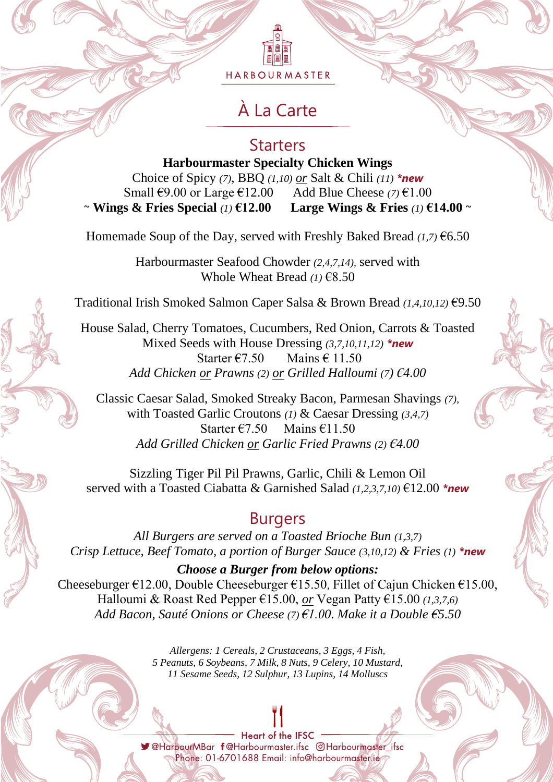删阐篇 HARBOURMASTER

# À La Carte

## **Starters**

**Harbourmaster Specialty Chicken Wings** Choice of Spicy *(7)*, BBQ *(1,10) or* Salt & Chili *(11) \*new* Small €9.00 or Large €12.00 Add Blue Cheese *(7)* €1.00 ~ **Wings & Fries Special** *(1)* **€12.00 Large Wings & Fries** *(1)* **€14.00** ~

Homemade Soup of the Day, served with Freshly Baked Bread *(1,7)* €6.50

Harbourmaster Seafood Chowder *(2,4,7,14),* served with Whole Wheat Bread *(1)* €8.50

Traditional Irish Smoked Salmon Caper Salsa & Brown Bread *(1,4,10,12)* €9.50

House Salad, Cherry Tomatoes, Cucumbers, Red Onion, Carrots & Toasted Mixed Seeds with House Dressing *(3,7,10,11,12) \*new* Starter  $\epsilon$ 7.50 Mains  $\epsilon$  11.50 *Add Chicken or Prawns (2) or Grilled Halloumi (7) €4.00*

Classic Caesar Salad, Smoked Streaky Bacon, Parmesan Shavings *(7),* with Toasted Garlic Croutons *(1)* & Caesar Dressing *(3,4,7)* Starter €7.50 Mains  $€11.50$ *Add Grilled Chicken or Garlic Fried Prawns (2) €4.00*

Sizzling Tiger Pil Pil Prawns, Garlic, Chili & Lemon Oil served with a Toasted Ciabatta & Garnished Salad *(1,2,3,7,10)* €12.00 *\*new*

# Burgers

*All Burgers are served on a Toasted Brioche Bun (1,3,7) Crisp Lettuce, Beef Tomato, a portion of Burger Sauce (3,10,12) & Fries (1) \*new*

*Choose a Burger from below options:* Cheeseburger €12.00, Double Cheeseburger €15.50*,* Fillet of Cajun Chicken €15.00, Halloumi & Roast Red Pepper €15.00, *or* Vegan Patty €15.00 *(1,3,7,6) Add Bacon, Sauté Onions or Cheese (7) €1.00. Make it a Double €5.50*

> *Allergens: 1 Cereals, 2 Crustaceans, 3 Eggs, 4 Fish, 5 Peanuts, 6 Soybeans, 7 Milk, 8 Nuts, 9 Celery, 10 Mustard, 11 Sesame Seeds, 12 Sulphur, 13 Lupins, 14 Molluscs*

**Heart of the IFSC** V@HarbourMBar f@Harbourmaster.ifsc @Harbourmaster\_ifsc Phone: 01-6701688 Email: info@harbourmaster/ie